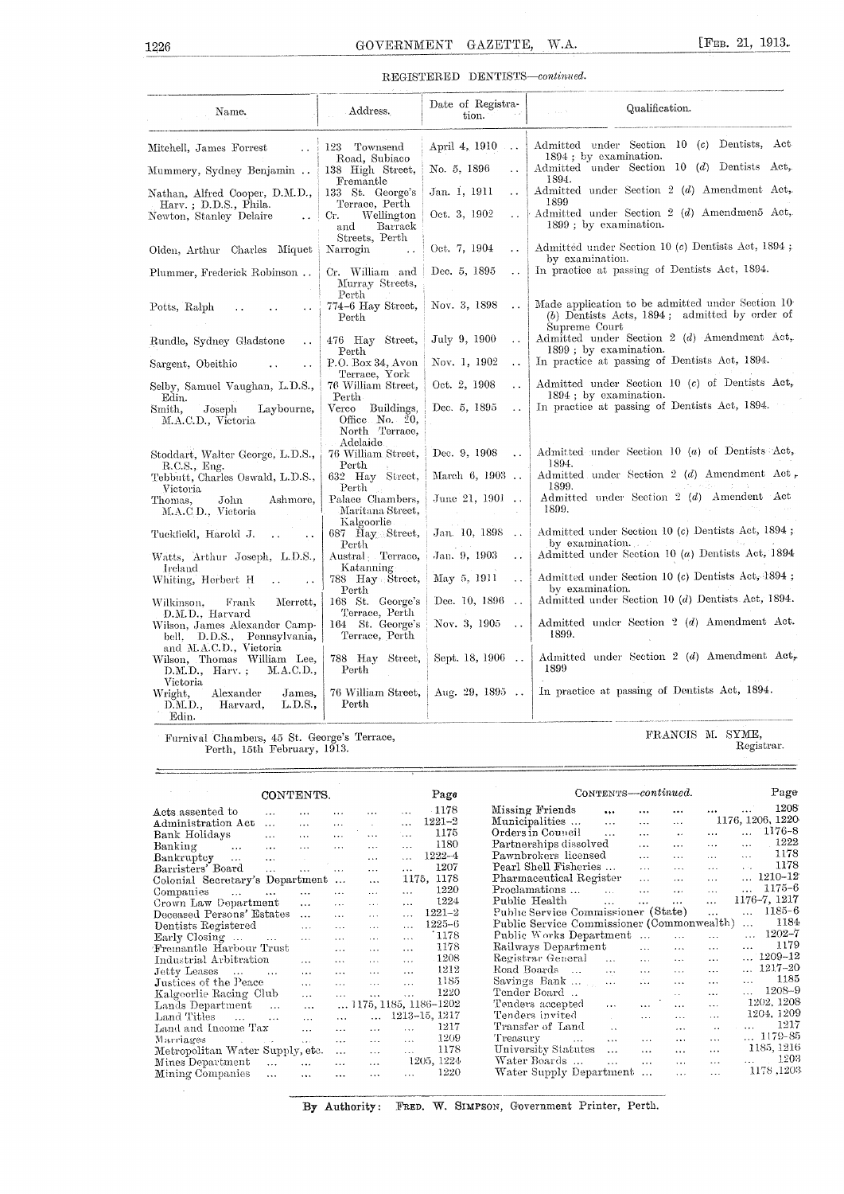## REGISTERED DENTISTS-continued.

| 1226                                                                                   | GOVERNMENT                                                                | GAZETTE,                              | [ $FEB. 21, 1913.$<br>W.A.                                                                                           |
|----------------------------------------------------------------------------------------|---------------------------------------------------------------------------|---------------------------------------|----------------------------------------------------------------------------------------------------------------------|
|                                                                                        |                                                                           | REGISTERED DENTISTS-continued.        |                                                                                                                      |
| Name.                                                                                  | Address.                                                                  | Date of Registra-<br>tion.            | Qualification.                                                                                                       |
| Mitchell, James Forrest                                                                | 123 Townsend<br>Road, Subiaco                                             | April 4, 1910<br>$\cdots$             | Admitted under Section 10 (c) Dentists, Act-<br>1894; by examination.                                                |
| Mummery, Sydney Benjamin                                                               | 138 High Street,<br>Fremantle                                             | No. 5, 1896<br>$\ddot{\phantom{a}}$   | Admitted under Section 10 (d) Dentists Act,<br>1894.                                                                 |
| Nathan, Alfred Cooper, D.M.D.,                                                         | 133 St. George's<br>Terrace, Perth                                        | Jan. 1, 1911<br>$\ddotsc$             | Admitted under Section 2 (d) Amendment Act,<br>1899                                                                  |
| Harv.; D.D.S., Phila.<br>Newton, Stanley Delaire<br>$\ddot{\phantom{0}}$               | Wellington<br>Cr.<br>Barrack<br>and                                       | Oct. 3, 1902<br>$\ddot{\phantom{0}}$  | Admitted under Section 2 (d) Amendmen5 Act,<br>1899; by examination.                                                 |
| Olden, Arthur Charles Miquet                                                           | Streets, Perth<br>Narrogin                                                | Oct. 7, 1904<br>. .                   | Admitted under Section 10 (c) Dentists Act, 1894;<br>by examination.                                                 |
| Plummer, Frederick Robinson                                                            | Cr. William and<br>Murray Streets,<br>Perth                               | Dec. 5, 1895<br>$\ddot{\phantom{0}}$  | In practice at passing of Dentists Act, 1894.                                                                        |
| Potts, Ralph<br>. .                                                                    | 774-6 Hay Street,<br>Perth                                                | Nov. 3, 1898<br>$\ddot{\phantom{0}}$  | Made application to be admitted under Section 10<br>$(b)$ Dentists Acts, 1894; admitted by order of<br>Supreme Court |
| Rundle, Sydney Gladstone<br>$\ddot{\phantom{1}}$                                       | 476 Hay Street,<br>Perth                                                  | July 9, 1900<br>$\ddot{\phantom{a}}$  | Admitted under Section 2 (d) Amendment Act,<br>1899; by examination.                                                 |
| Sargent, Obeithio<br>$\ddot{\phantom{0}}$                                              | P.O. Box 34, Avon<br>Terrace, York                                        | Nov. 1, 1902<br>$\ddot{\phantom{a}}$  | In practice at passing of Dentists Act, 1894.                                                                        |
| Selby, Samuel Vaughan, L.D.S.,                                                         | 76 William Street,<br>Perth.                                              | Oct. 2, 1908<br>μ.                    | Admitted under Section $10$ (c) of Dentists Act,<br>1894 : by examination.                                           |
| Edin.<br>Smith,<br>Laybourne,<br>Joseph<br>M.A.C.D., Victoria                          | Buildings,<br>$\rm Verco$<br>Office No. 20,<br>North Terrace,<br>Adelaide | Dec. 5, 1895<br>$\ddot{\phantom{0}}$  | In practice at passing of Dentists Act, 1894.                                                                        |
| Stoddart, Walter George, L.D.S.,<br>R.C.S., Eng.                                       | 76 William Street,<br>Perth                                               | Dec. 9, 1908<br>$\ddot{\phantom{a}}$  | Admitted under Section 10 (a) of Dentists Act,<br>1894.                                                              |
| Tebbutt, Charles Oswald, L.D.S.,<br>Victoria                                           | 632 Hay Street,<br>Perth                                                  | March 6, 1903                         | Admitted under Section 2 (d) Amendment Act,<br>1899.                                                                 |
| Ashmore,<br>Thomas,<br>John<br>M.A.C.D., Victoria                                      | Palace Chambers,<br>Maritana Street,<br>Kalgoorlie                        | June 21, 1901<br>$\ddots$             | Admitted under Section 2 (d) Amendent Act<br>1899.                                                                   |
| Tuckfield, Harold J.<br>$\mathbf{A}$<br>$\ddot{\phantom{a}}$                           | 687 Hay Street,<br>Perth                                                  | Jan. 10, 1898<br>$\ddot{\phantom{0}}$ | Admitted under Section 10 (c) Dentists Act, 1894;<br>by examination.                                                 |
| Watts, Arthur Joseph, L.D.S.,<br>Ireland                                               | Austral Terrace,<br>Katanning                                             | Jan. 9, 1903<br>. .                   | Admitted under Section 10 (a) Dentists Act, 1894                                                                     |
| Whiting, Herbert H                                                                     | 788 Hay Street,<br>Perth                                                  | May 5, 1911<br>$\ddot{\phantom{a}}$   | Admitted under Section 10 (c) Dentists Act, 1894;<br>by examination.                                                 |
| Merrett,<br>Frank<br>Wilkinson.<br>D.M.D., Harvard                                     | 168 St. George's<br>Terrace, Perth                                        | Dec. 10, 1896<br>$\ddot{\phantom{a}}$ | Admitted under Section 10 (d) Dentists Act, 1894.                                                                    |
| Wilson, James Alexander Camp-<br>bell, D.D.S., Pennsylvania,<br>and M.A.C.D., Victoria | 164 St. George's<br>Terrace, Perth                                        | Nov. 3, 1905<br>$\ddot{\phantom{a}}$  | Admitted under Section 2 (d) Amendment Act.<br>1899.                                                                 |
| Wilson, Thomas William Lee,<br>$D.M.D., Harv.$ ;<br>M.A.C.D.,                          | 788 Hay Street,<br>Perth                                                  | Sept. 18, 1906<br>$\sim$              | Admitted under Section 2 (d) Amendment $Act_r$<br>1899                                                               |
| Victoria<br>Wright,<br>Alexander<br>James,<br>D.M.D.,<br>Harvard,<br>L.D.S.,<br>Edin.  | 76 William Street,<br>Perth                                               | Aug. 29, 1895                         | In practice at passing of Dentists Act, 1894.                                                                        |

Furnival Chambers, 45 St. George's Terrace, Perth, 15th February, 1913.

FRANCIS M. SYME, Registrar.

|                                             | CONTENTS.             |               |               |           | Page                           |                                            |                             |                | CONTENTS-continued.  |                      |                       |              | Page       |
|---------------------------------------------|-----------------------|---------------|---------------|-----------|--------------------------------|--------------------------------------------|-----------------------------|----------------|----------------------|----------------------|-----------------------|--------------|------------|
| Acts assented to<br>$\mathbf{1}$            |                       |               |               |           | $-1178$                        | Missing Friends                            | $\cdots$                    | $\cdots$       |                      | $\cdots$             |                       |              | 1208       |
| Administration Act<br>$\ddots$              | $\cdots$              | $\cdots$      | $\sim$        | $\cdots$  | $1221 - 2$                     | Municipalities                             | $\ddotsc$                   | $\cdots$       | $\cdots$             |                      | 1176, 1206, 1220      |              |            |
| Bank Holidays<br>$\mathbf{r}$               | $\ddotsc$             | $\ddotsc$     | $\ddotsc$     | $\ddotsc$ | 1175                           | Orders in Council                          | $\ddotsc$                   | $\cdots$       | $\ddot{\phantom{a}}$ | $\cdots$             | $\cdots$              |              | 1176-8     |
| Banking<br>$\ddotsc$<br>$\cdots$            | $\cdots$              | $\cdots$      | $\cdots$      | $\cdots$  | 1180                           | Partnerships dissolved                     |                             | $\cdots$       | $\cdots$             | $\cdots$             | $\cdots$              |              | 1222       |
| Bankruptev<br>$\ddotsc$<br>$\cdots$         | $\sim$ 100 $\mu$      |               | $\cdots$      |           | $1222 - 4$                     | Pawnbrokers licensed                       |                             | $\cdots$       | $\cdots$             | $\cdots$             | $\cdots$              |              | 1178       |
| Barristers' Board<br>$\cdots$               | $\cdots$              | $\cdots$      | $\cdots$      | $\cdots$  | 1207                           | Pearl Shell Fisheries                      |                             | $\cdots$       | $\cdots$             | $\cdots$             | $\Delta \sim 10^{-1}$ |              | 1178       |
| Colonial Secretary's Department             |                       |               | $\ddotsc$     |           | 1175, 1178                     | Pharmaceutical Register                    |                             | $\cdots$       | $\cdots$             | $\cdots$             |                       | 1210-12      |            |
| Companies<br>$\mathbf{1}$<br>$\cdots$       | $\ddotsc$             | $\cdots$      | $\sim$        | $\cdots$  | 1220                           | Proclamations                              | $\sim$                      | $\mathbf{1}$   | $\cdots$             | $\ddotsc$            |                       |              | $1175 - 6$ |
| Crown Law Department                        | $\cdots$              | $\cdots$      | $\mathbf{r}$  | $\ddotsc$ | 1224                           | Public Health                              | $\mathbf{r}$                | $\ddotsc$      | $\ddotsc$            | $\cdots$             |                       | 1176-7, 1217 |            |
| Deceased Persons' Estates                   | $\cdots$              | $\mathbf{1}$  | $\cdots$      | $\ddotsc$ | $1221 - 2$                     | Public Service Commissioner (State)        |                             |                |                      | $\cdots$             | $\ddot{\phantom{a}}$  |              | $1185 - 6$ |
| Dentists Registered                         | $\mathbf{1}$          | $\cdots$      | $\cdots$      | $\cdots$  | $1225 - 6$                     | Public Service Commissioner (Commonwealth) |                             |                |                      |                      | $\ddotsc$             |              | 1184       |
| Early Closing<br>$\cdots$                   | $\dddot{\phantom{0}}$ | $\ddotsc$     | $\mathbf{r}$  | $\ddotsc$ | 1178                           | Public Works Department                    |                             |                | $\dddotsc$           | $\cdots$             |                       |              | $1202 - 7$ |
| Fremantle Harbour Trust                     |                       | $\cdots$      | $\mathbf{r}$  | $\cdots$  | 1178                           | Railways Department                        |                             | $\ddotsc$      | $\cdots$             | $\cdots$             | $\cdots$              |              | 1179       |
| Industrial Arbitration                      | $\cdots$              | $\cdots$      | $\sim$ $\sim$ | $\sim$    | 1208                           | Registrar General                          | $\cdots$                    | $\sim$         | $\sim$               | $\cdots$             |                       | 1209-12      |            |
| Jetty Leases<br>$\sim$ 444<br>$\sim$ $\sim$ | $\cdots$              | $\cdots$      | $\ldots$      | $\cdots$  | 1212                           | Road Boards                                | $\cdots$                    |                | $\sim$               | $\sim$ $\sim$ $\sim$ | $\cdots$              | $1217 - 20$  |            |
| Justices of the Peace                       | $\cdots$              | $\sim$ $\sim$ | $\sim$ $\sim$ | $\ldots$  | 1185                           | Savings Bank                               | $\lambda$ and               | $\mathbb{Z}^2$ | $\ddotsc$            | $\cdots$             | $\ddotsc$             |              | 1185       |
| Kalgoorlie Racing Club                      | $\cdots$              | $\cdots$      | $\cdots$      | $\cdots$  | 1220                           | Tender Board                               |                             |                | $\sim 10^{-1}$       | $\cdots$             |                       |              | $1208 - 9$ |
| Lands Department<br>$\ddotsc$               | $\cdots$              |               |               |           | $\ldots$ 1175, 1185, 1186-1202 | Tenders accepted                           | $\ldots$                    | $\cdots$       |                      | $\ldots$             |                       | 1202, 1208   |            |
| Land Titles<br>$\mathbf{r}$<br>$\cdots$     | $\cdots$              | $\cdots$      |               |           | 1213-15, 1217                  | Tenders invited                            | $\mathcal{L}^{\mathcal{L}}$ | $\cdots$       | $\cdots$             | $\cdots$             |                       | 1204, 1209   |            |
| Land and Income Tax                         | $\cdots$              | $\cdots$      | $\cdots$      | $\ddotsc$ | 1217                           | Transfer of Land                           | $\sim$                      |                | $\cdots$             | $\mathbf{A}$         |                       |              | 1217       |
| Marriages<br>and the contract of            | $\mathbf{1}$          | $\cdots$      | $\cdots$      | $\cdots$  | 1209                           | Treasurv<br><b>SALE</b>                    | $\cdots$                    | $\cdots$       | $\cdots$             | $\cdots$             |                       | $ 1179 - 85$ |            |
| Metropolitan Water Supply, etc.             |                       | $\cdots$      | $\cdots$      | $\sim$    | 1178                           | University Statutes                        | $\cdots$                    | $\cdots$       | $\cdots$             | $\cdots$             |                       | 1185, 1216   |            |
| Mines Department<br>$\ddotsc$               | $\cdots$              | $\cdots$      | $\ddotsc$     |           | 1205, 1224                     | Water Boards                               | $\cdots$                    | $\cdots$       | $\ddotsc$            | $\sim 10$            |                       |              | 1203       |
| Mining Companies<br>$\cdots$                | $\ddotsc$             |               | $\cdots$      |           | 1220                           | Water Supply Department                    |                             |                | $\cdots$             | $\ddotsc$            |                       | 1178, 1203   |            |

By Authority: FRED. W. SIMPSON, Government Printer, Perth.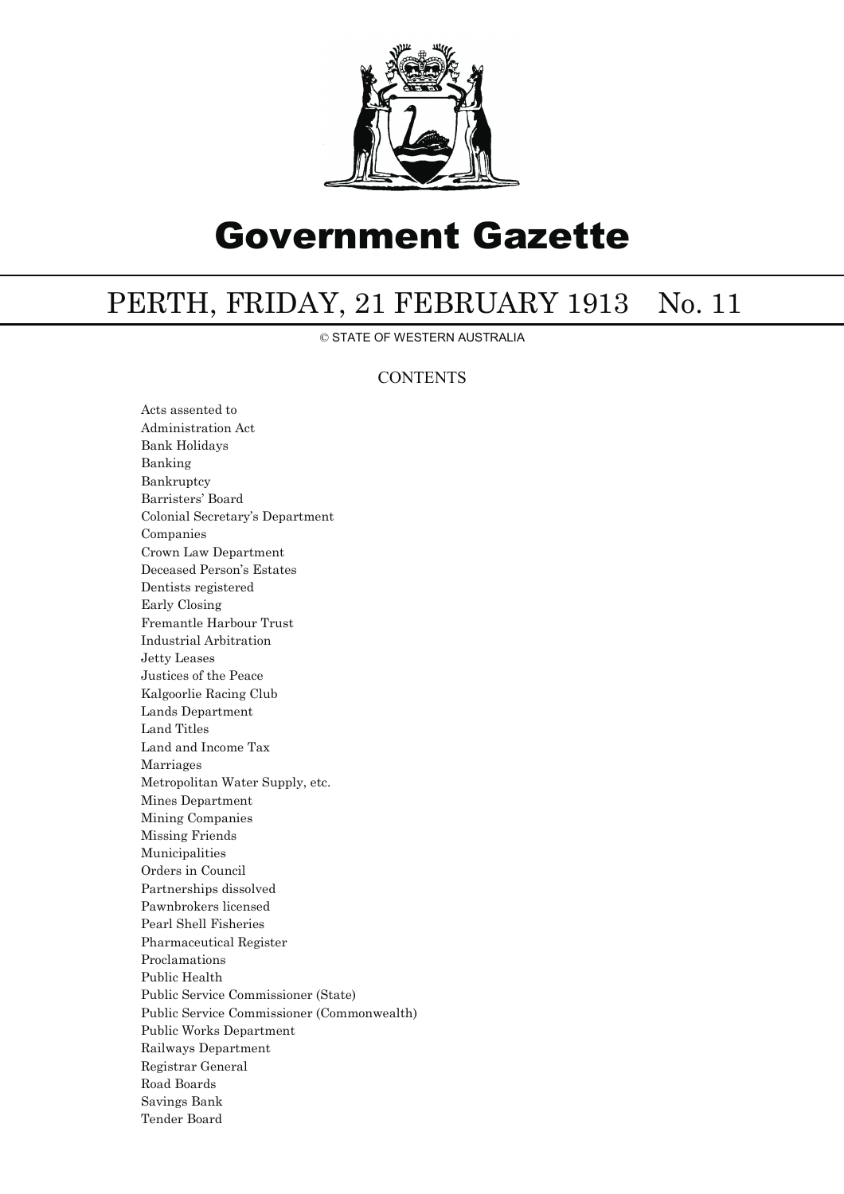

## Government Gazette

## PERTH, FRIDAY, 21 FEBRUARY 1913 No. 11

© STATE OF WESTERN AUSTRALIA

## **CONTENTS**

Acts assented to Administration Act Bank Holidays Banking Bankruptcy Barristers' Board Colonial Secretary's Department Companies Crown Law Department Deceased Person's Estates Dentists registered Early Closing Fremantle Harbour Trust Industrial Arbitration Jetty Leases Justices of the Peace Kalgoorlie Racing Club Lands Department Land Titles Land and Income Tax Marriages Metropolitan Water Supply, etc. Mines Department Mining Companies Missing Friends Municipalities Orders in Council Partnerships dissolved Pawnbrokers licensed Pearl Shell Fisheries Pharmaceutical Register Proclamations Public Health Public Service Commissioner (State) Public Service Commissioner (Commonwealth) Public Works Department Railways Department Registrar General Road Boards Savings Bank Tender Board